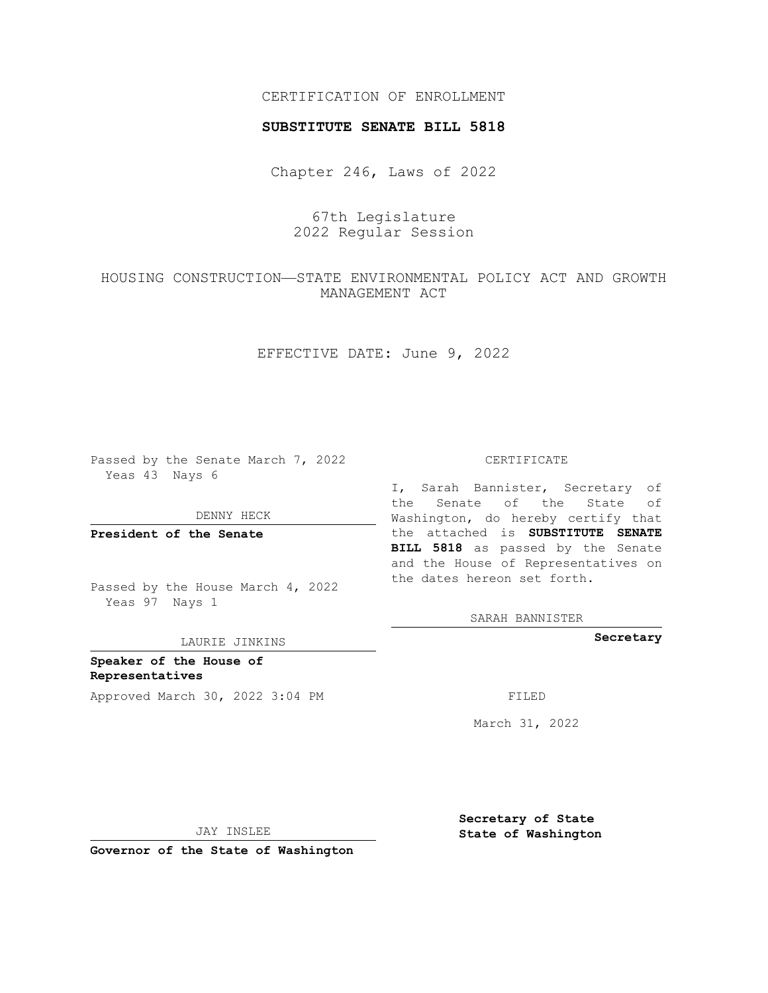### CERTIFICATION OF ENROLLMENT

### **SUBSTITUTE SENATE BILL 5818**

Chapter 246, Laws of 2022

67th Legislature 2022 Regular Session

## HOUSING CONSTRUCTION—STATE ENVIRONMENTAL POLICY ACT AND GROWTH MANAGEMENT ACT

EFFECTIVE DATE: June 9, 2022

Passed by the Senate March 7, 2022 Yeas 43 Nays 6

DENNY HECK

**President of the Senate**

Passed by the House March 4, 2022 Yeas 97 Nays 1

LAURIE JINKINS

**Speaker of the House of Representatives** Approved March 30, 2022 3:04 PM

#### CERTIFICATE

I, Sarah Bannister, Secretary of the Senate of the State of Washington, do hereby certify that the attached is **SUBSTITUTE SENATE BILL 5818** as passed by the Senate and the House of Representatives on the dates hereon set forth.

SARAH BANNISTER

**Secretary**

March 31, 2022

JAY INSLEE

**Governor of the State of Washington**

**Secretary of State State of Washington**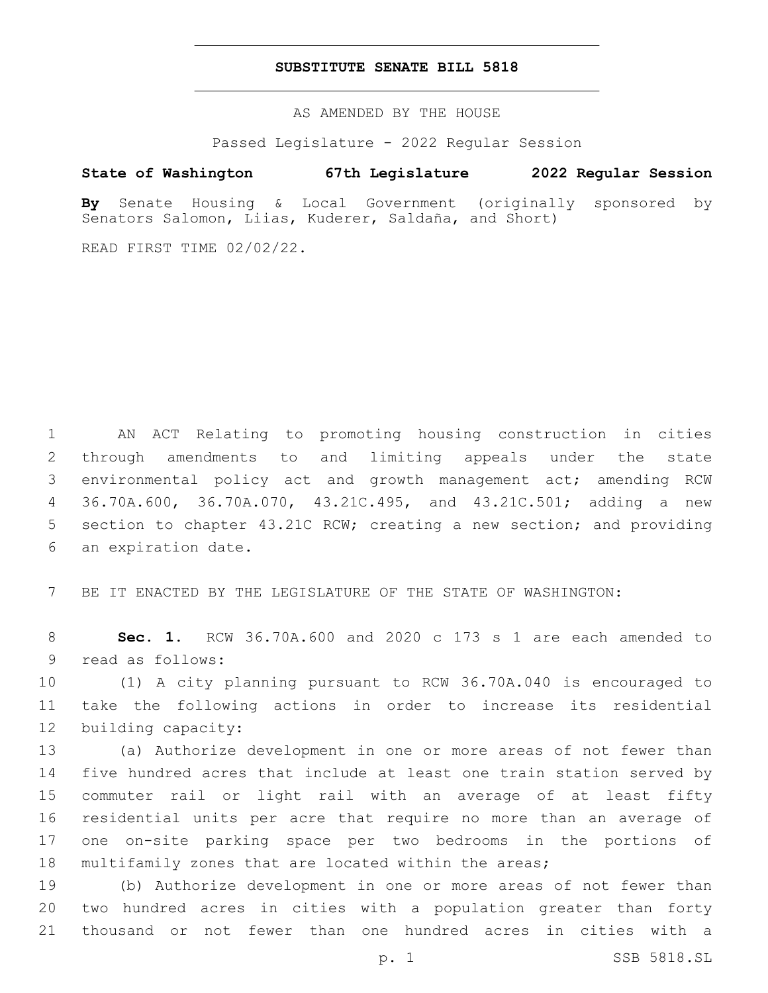### **SUBSTITUTE SENATE BILL 5818**

AS AMENDED BY THE HOUSE

Passed Legislature - 2022 Regular Session

# **State of Washington 67th Legislature 2022 Regular Session**

**By** Senate Housing & Local Government (originally sponsored by Senators Salomon, Liias, Kuderer, Saldaña, and Short)

READ FIRST TIME 02/02/22.

 AN ACT Relating to promoting housing construction in cities through amendments to and limiting appeals under the state environmental policy act and growth management act; amending RCW 36.70A.600, 36.70A.070, 43.21C.495, and 43.21C.501; adding a new section to chapter 43.21C RCW; creating a new section; and providing 6 an expiration date.

BE IT ENACTED BY THE LEGISLATURE OF THE STATE OF WASHINGTON:

 **Sec. 1.** RCW 36.70A.600 and 2020 c 173 s 1 are each amended to 9 read as follows:

 (1) A city planning pursuant to RCW 36.70A.040 is encouraged to take the following actions in order to increase its residential 12 building capacity:

 (a) Authorize development in one or more areas of not fewer than five hundred acres that include at least one train station served by commuter rail or light rail with an average of at least fifty residential units per acre that require no more than an average of one on-site parking space per two bedrooms in the portions of multifamily zones that are located within the areas;

 (b) Authorize development in one or more areas of not fewer than two hundred acres in cities with a population greater than forty thousand or not fewer than one hundred acres in cities with a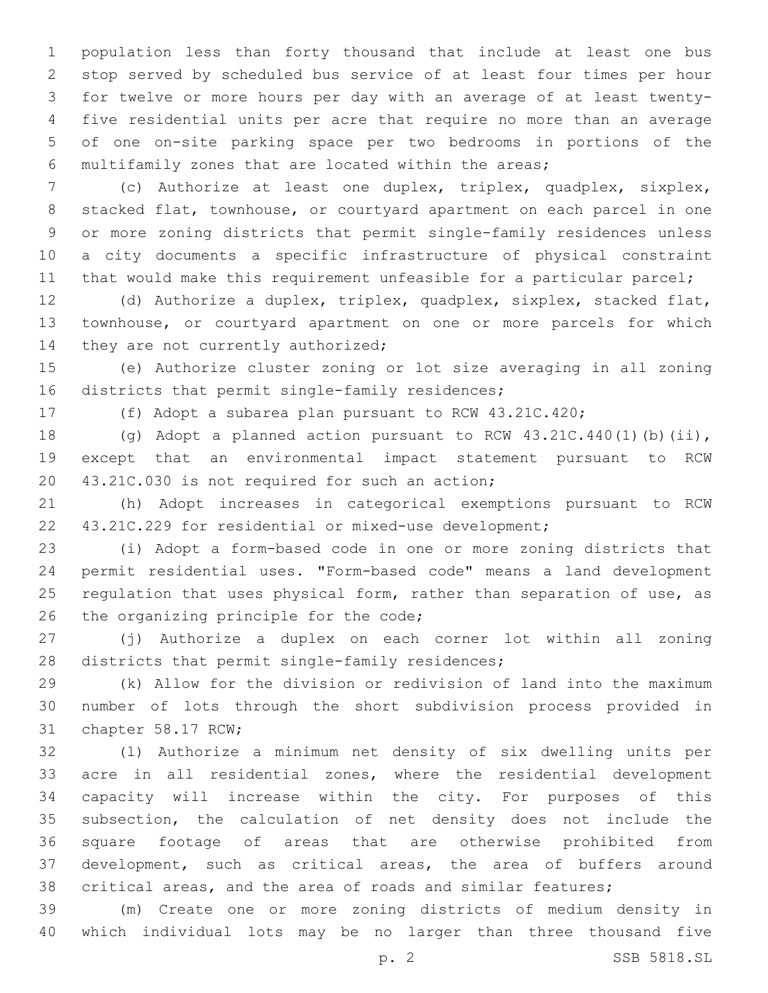population less than forty thousand that include at least one bus stop served by scheduled bus service of at least four times per hour for twelve or more hours per day with an average of at least twenty- five residential units per acre that require no more than an average of one on-site parking space per two bedrooms in portions of the multifamily zones that are located within the areas;

 (c) Authorize at least one duplex, triplex, quadplex, sixplex, stacked flat, townhouse, or courtyard apartment on each parcel in one or more zoning districts that permit single-family residences unless a city documents a specific infrastructure of physical constraint 11 that would make this requirement unfeasible for a particular parcel;

 (d) Authorize a duplex, triplex, quadplex, sixplex, stacked flat, townhouse, or courtyard apartment on one or more parcels for which 14 they are not currently authorized;

 (e) Authorize cluster zoning or lot size averaging in all zoning 16 districts that permit single-family residences;

(f) Adopt a subarea plan pursuant to RCW 43.21C.420;

 (g) Adopt a planned action pursuant to RCW 43.21C.440(1)(b)(ii), except that an environmental impact statement pursuant to RCW 20 43.21C.030 is not required for such an action;

 (h) Adopt increases in categorical exemptions pursuant to RCW 43.21C.229 for residential or mixed-use development;

 (i) Adopt a form-based code in one or more zoning districts that permit residential uses. "Form-based code" means a land development regulation that uses physical form, rather than separation of use, as 26 the organizing principle for the code;

 (j) Authorize a duplex on each corner lot within all zoning 28 districts that permit single-family residences;

 (k) Allow for the division or redivision of land into the maximum number of lots through the short subdivision process provided in 31 chapter 58.17 RCW;

 (l) Authorize a minimum net density of six dwelling units per acre in all residential zones, where the residential development capacity will increase within the city. For purposes of this subsection, the calculation of net density does not include the square footage of areas that are otherwise prohibited from development, such as critical areas, the area of buffers around critical areas, and the area of roads and similar features;

 (m) Create one or more zoning districts of medium density in which individual lots may be no larger than three thousand five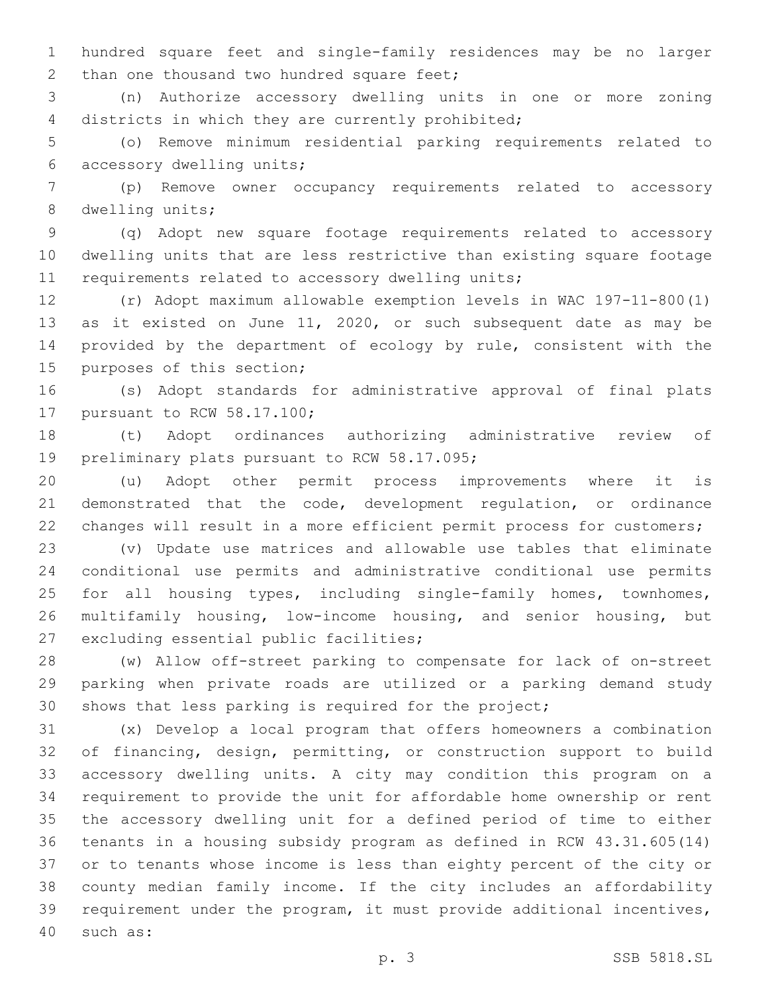hundred square feet and single-family residences may be no larger 2 than one thousand two hundred square feet;

 (n) Authorize accessory dwelling units in one or more zoning 4 districts in which they are currently prohibited;

 (o) Remove minimum residential parking requirements related to 6 accessory dwelling units;

 (p) Remove owner occupancy requirements related to accessory 8 dwelling units;

 (q) Adopt new square footage requirements related to accessory dwelling units that are less restrictive than existing square footage 11 requirements related to accessory dwelling units;

 (r) Adopt maximum allowable exemption levels in WAC 197-11-800(1) as it existed on June 11, 2020, or such subsequent date as may be provided by the department of ecology by rule, consistent with the 15 purposes of this section;

 (s) Adopt standards for administrative approval of final plats 17 pursuant to RCW 58.17.100;

 (t) Adopt ordinances authorizing administrative review of 19 preliminary plats pursuant to RCW 58.17.095;

 (u) Adopt other permit process improvements where it is demonstrated that the code, development regulation, or ordinance 22 changes will result in a more efficient permit process for customers;

 (v) Update use matrices and allowable use tables that eliminate conditional use permits and administrative conditional use permits for all housing types, including single-family homes, townhomes, multifamily housing, low-income housing, and senior housing, but 27 excluding essential public facilities;

 (w) Allow off-street parking to compensate for lack of on-street parking when private roads are utilized or a parking demand study shows that less parking is required for the project;

 (x) Develop a local program that offers homeowners a combination of financing, design, permitting, or construction support to build accessory dwelling units. A city may condition this program on a requirement to provide the unit for affordable home ownership or rent the accessory dwelling unit for a defined period of time to either tenants in a housing subsidy program as defined in RCW 43.31.605(14) or to tenants whose income is less than eighty percent of the city or county median family income. If the city includes an affordability requirement under the program, it must provide additional incentives, 40 such as: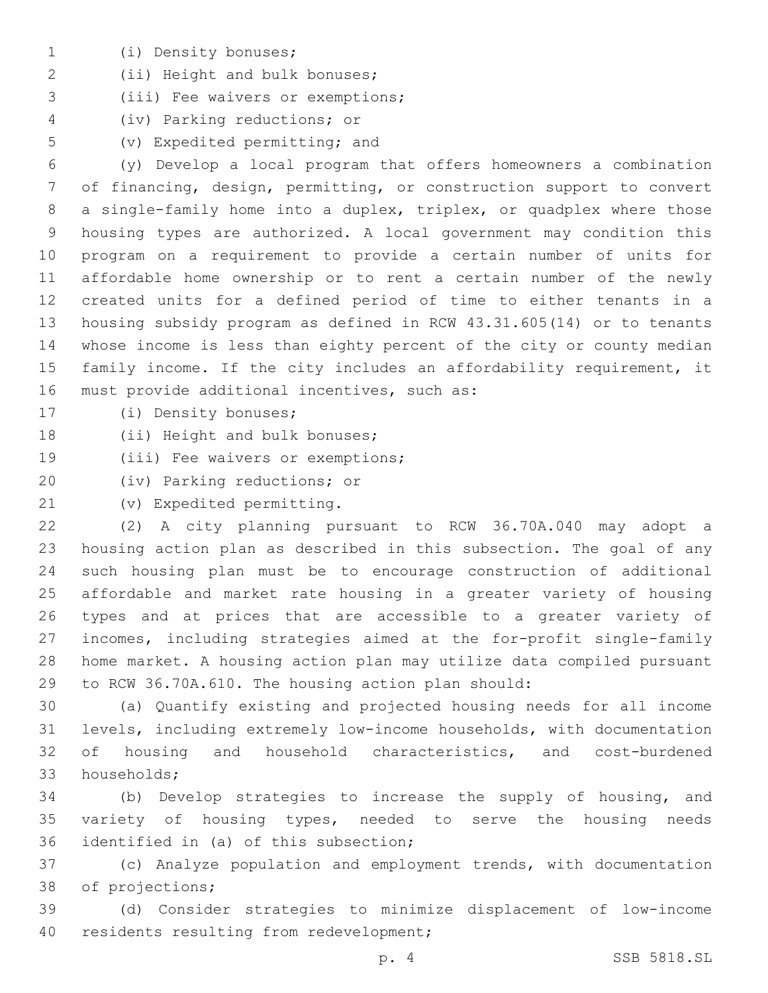- (i) Density bonuses;1
- 2 (ii) Height and bulk bonuses;

3 (iii) Fee waivers or exemptions;

(iv) Parking reductions; or4

5 (v) Expedited permitting; and

 (y) Develop a local program that offers homeowners a combination of financing, design, permitting, or construction support to convert a single-family home into a duplex, triplex, or quadplex where those housing types are authorized. A local government may condition this program on a requirement to provide a certain number of units for affordable home ownership or to rent a certain number of the newly created units for a defined period of time to either tenants in a housing subsidy program as defined in RCW 43.31.605(14) or to tenants whose income is less than eighty percent of the city or county median family income. If the city includes an affordability requirement, it 16 must provide additional incentives, such as:

- 17 (i) Density bonuses;
- 18 (ii) Height and bulk bonuses;
- 19 (iii) Fee waivers or exemptions;
- 20 (iv) Parking reductions; or
- 21 (v) Expedited permitting.

 (2) A city planning pursuant to RCW 36.70A.040 may adopt a housing action plan as described in this subsection. The goal of any such housing plan must be to encourage construction of additional affordable and market rate housing in a greater variety of housing types and at prices that are accessible to a greater variety of incomes, including strategies aimed at the for-profit single-family home market. A housing action plan may utilize data compiled pursuant to RCW 36.70A.610. The housing action plan should:

30 (a) Quantify existing and projected housing needs for all income 31 levels, including extremely low-income households, with documentation 32 of housing and household characteristics, and cost-burdened 33 households;

34 (b) Develop strategies to increase the supply of housing, and 35 variety of housing types, needed to serve the housing needs 36 identified in (a) of this subsection;

37 (c) Analyze population and employment trends, with documentation 38 of projections;

39 (d) Consider strategies to minimize displacement of low-income 40 residents resulting from redevelopment;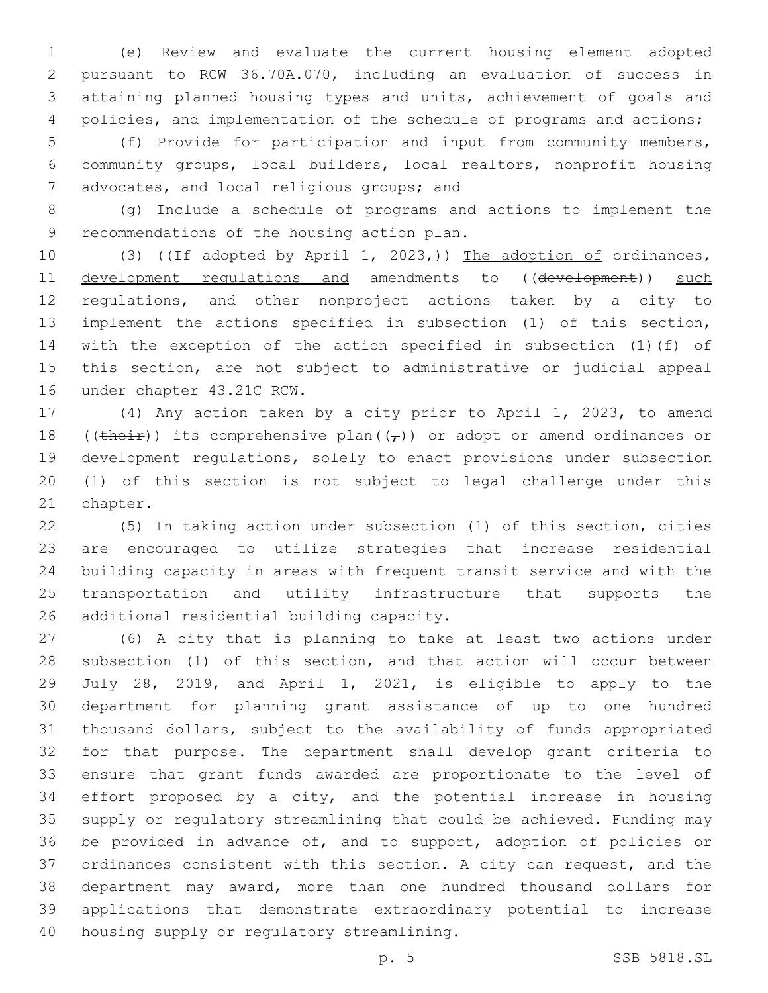(e) Review and evaluate the current housing element adopted pursuant to RCW 36.70A.070, including an evaluation of success in attaining planned housing types and units, achievement of goals and policies, and implementation of the schedule of programs and actions;

 (f) Provide for participation and input from community members, community groups, local builders, local realtors, nonprofit housing 7 advocates, and local religious groups; and

 (g) Include a schedule of programs and actions to implement the 9 recommendations of the housing action plan.

10 (3) ((If adopted by April 1,  $2023<sub>r</sub>$ )) The adoption of ordinances, 11 development regulations and amendments to ((development)) such regulations, and other nonproject actions taken by a city to implement the actions specified in subsection (1) of this section, with the exception of the action specified in subsection (1)(f) of this section, are not subject to administrative or judicial appeal 16 under chapter 43.21C RCW.

 (4) Any action taken by a city prior to April 1, 2023, to amend 18 ((their)) its comprehensive plan( $(\tau)$ ) or adopt or amend ordinances or development regulations, solely to enact provisions under subsection (1) of this section is not subject to legal challenge under this 21 chapter.

 (5) In taking action under subsection (1) of this section, cities are encouraged to utilize strategies that increase residential building capacity in areas with frequent transit service and with the transportation and utility infrastructure that supports the 26 additional residential building capacity.

 (6) A city that is planning to take at least two actions under subsection (1) of this section, and that action will occur between July 28, 2019, and April 1, 2021, is eligible to apply to the department for planning grant assistance of up to one hundred thousand dollars, subject to the availability of funds appropriated for that purpose. The department shall develop grant criteria to ensure that grant funds awarded are proportionate to the level of effort proposed by a city, and the potential increase in housing supply or regulatory streamlining that could be achieved. Funding may be provided in advance of, and to support, adoption of policies or ordinances consistent with this section. A city can request, and the department may award, more than one hundred thousand dollars for applications that demonstrate extraordinary potential to increase 40 housing supply or regulatory streamlining.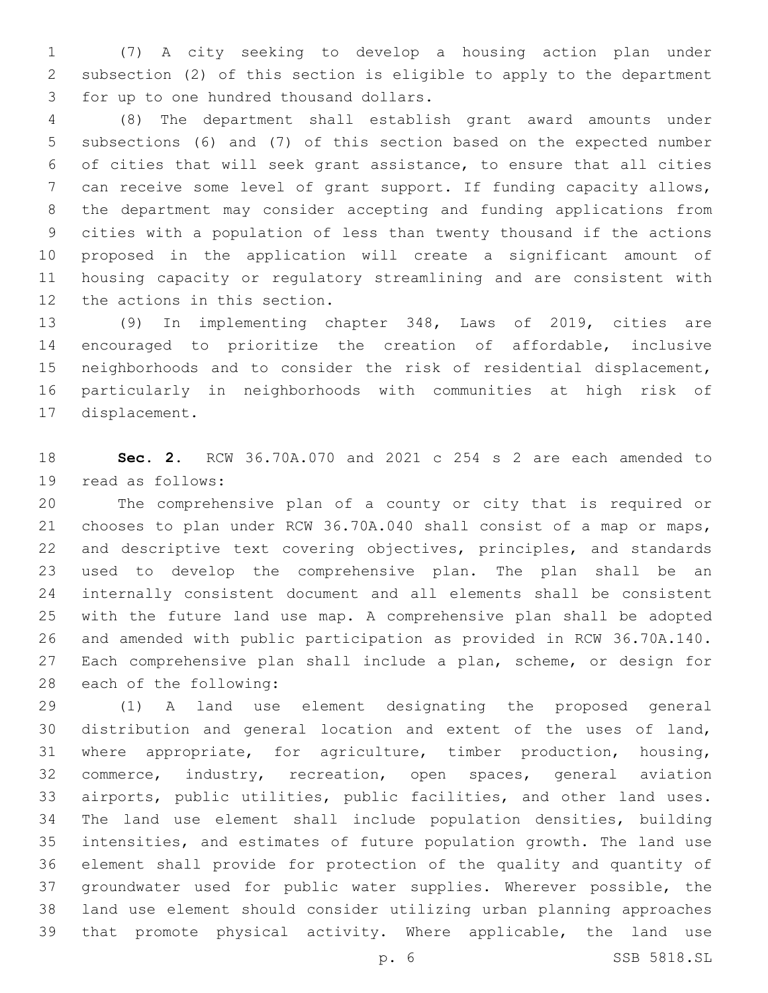(7) A city seeking to develop a housing action plan under subsection (2) of this section is eligible to apply to the department 3 for up to one hundred thousand dollars.

 (8) The department shall establish grant award amounts under subsections (6) and (7) of this section based on the expected number of cities that will seek grant assistance, to ensure that all cities can receive some level of grant support. If funding capacity allows, the department may consider accepting and funding applications from cities with a population of less than twenty thousand if the actions proposed in the application will create a significant amount of housing capacity or regulatory streamlining and are consistent with 12 the actions in this section.

 (9) In implementing chapter 348, Laws of 2019, cities are encouraged to prioritize the creation of affordable, inclusive neighborhoods and to consider the risk of residential displacement, particularly in neighborhoods with communities at high risk of 17 displacement.

 **Sec. 2.** RCW 36.70A.070 and 2021 c 254 s 2 are each amended to 19 read as follows:

 The comprehensive plan of a county or city that is required or chooses to plan under RCW 36.70A.040 shall consist of a map or maps, and descriptive text covering objectives, principles, and standards used to develop the comprehensive plan. The plan shall be an internally consistent document and all elements shall be consistent with the future land use map. A comprehensive plan shall be adopted and amended with public participation as provided in RCW 36.70A.140. Each comprehensive plan shall include a plan, scheme, or design for 28 each of the following:

 (1) A land use element designating the proposed general distribution and general location and extent of the uses of land, where appropriate, for agriculture, timber production, housing, commerce, industry, recreation, open spaces, general aviation airports, public utilities, public facilities, and other land uses. The land use element shall include population densities, building intensities, and estimates of future population growth. The land use element shall provide for protection of the quality and quantity of groundwater used for public water supplies. Wherever possible, the land use element should consider utilizing urban planning approaches that promote physical activity. Where applicable, the land use

p. 6 SSB 5818.SL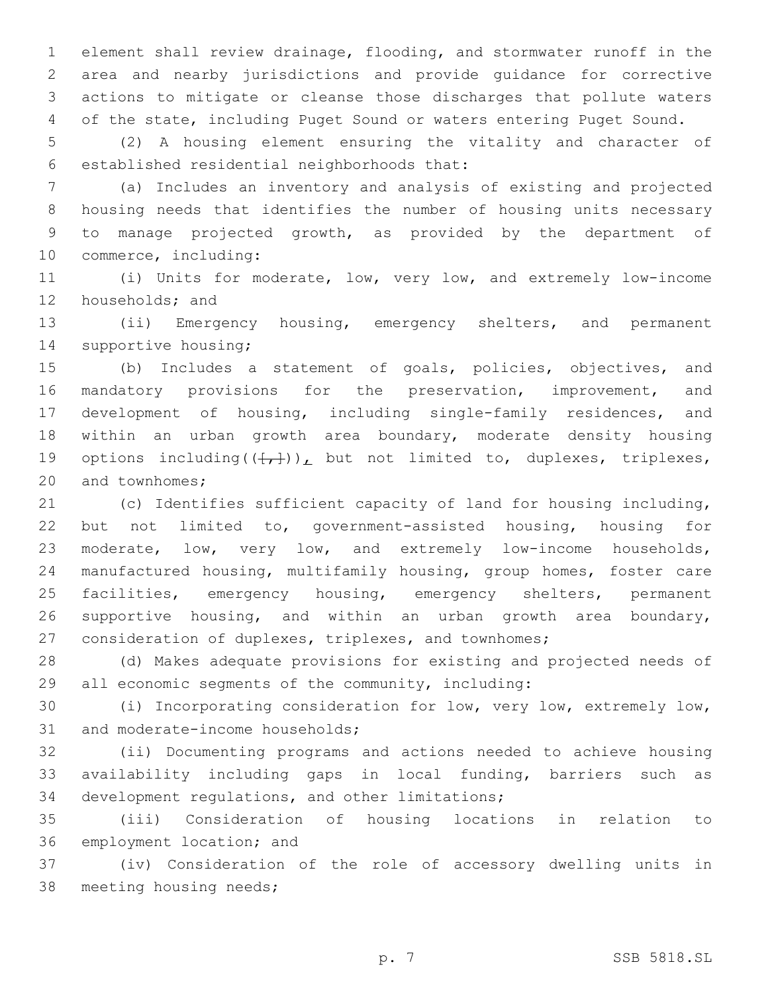element shall review drainage, flooding, and stormwater runoff in the area and nearby jurisdictions and provide guidance for corrective actions to mitigate or cleanse those discharges that pollute waters of the state, including Puget Sound or waters entering Puget Sound.

 (2) A housing element ensuring the vitality and character of 6 established residential neighborhoods that:

 (a) Includes an inventory and analysis of existing and projected housing needs that identifies the number of housing units necessary to manage projected growth, as provided by the department of 10 commerce, including:

 (i) Units for moderate, low, very low, and extremely low-income 12 households; and

 (ii) Emergency housing, emergency shelters, and permanent 14 supportive housing;

 (b) Includes a statement of goals, policies, objectives, and mandatory provisions for the preservation, improvement, and development of housing, including single-family residences, and within an urban growth area boundary, moderate density housing 19 options including( $(\frac{1}{t+1})$ ), but not limited to, duplexes, triplexes, 20 and townhomes;

 (c) Identifies sufficient capacity of land for housing including, but not limited to, government-assisted housing, housing for moderate, low, very low, and extremely low-income households, manufactured housing, multifamily housing, group homes, foster care 25 facilities, emergency housing, emergency shelters, permanent supportive housing, and within an urban growth area boundary, consideration of duplexes, triplexes, and townhomes;

 (d) Makes adequate provisions for existing and projected needs of all economic segments of the community, including:

 (i) Incorporating consideration for low, very low, extremely low, 31 and moderate-income households;

 (ii) Documenting programs and actions needed to achieve housing availability including gaps in local funding, barriers such as 34 development regulations, and other limitations;

 (iii) Consideration of housing locations in relation to 36 employment location; and

 (iv) Consideration of the role of accessory dwelling units in 38 meeting housing needs;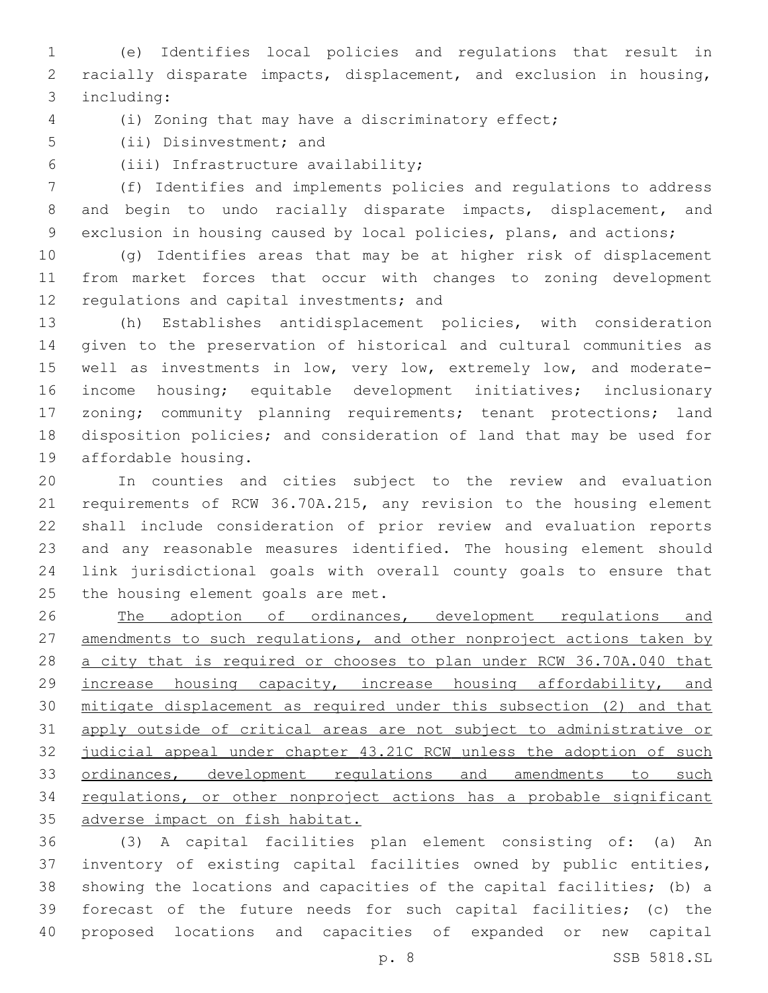(e) Identifies local policies and regulations that result in racially disparate impacts, displacement, and exclusion in housing, including:3

(i) Zoning that may have a discriminatory effect;

5 (ii) Disinvestment; and

(iii) Infrastructure availability;6

 (f) Identifies and implements policies and regulations to address and begin to undo racially disparate impacts, displacement, and exclusion in housing caused by local policies, plans, and actions;

 (g) Identifies areas that may be at higher risk of displacement from market forces that occur with changes to zoning development 12 regulations and capital investments; and

 (h) Establishes antidisplacement policies, with consideration given to the preservation of historical and cultural communities as well as investments in low, very low, extremely low, and moderate- income housing; equitable development initiatives; inclusionary 17 zoning; community planning requirements; tenant protections; land disposition policies; and consideration of land that may be used for 19 affordable housing.

 In counties and cities subject to the review and evaluation requirements of RCW 36.70A.215, any revision to the housing element shall include consideration of prior review and evaluation reports and any reasonable measures identified. The housing element should link jurisdictional goals with overall county goals to ensure that 25 the housing element goals are met.

 The adoption of ordinances, development regulations and 27 amendments to such regulations, and other nonproject actions taken by 28 a city that is required or chooses to plan under RCW 36.70A.040 that increase housing capacity, increase housing affordability, and mitigate displacement as required under this subsection (2) and that apply outside of critical areas are not subject to administrative or judicial appeal under chapter 43.21C RCW unless the adoption of such 33 ordinances, development regulations and amendments to such 34 regulations, or other nonproject actions has a probable significant adverse impact on fish habitat.

 (3) A capital facilities plan element consisting of: (a) An inventory of existing capital facilities owned by public entities, showing the locations and capacities of the capital facilities; (b) a forecast of the future needs for such capital facilities; (c) the proposed locations and capacities of expanded or new capital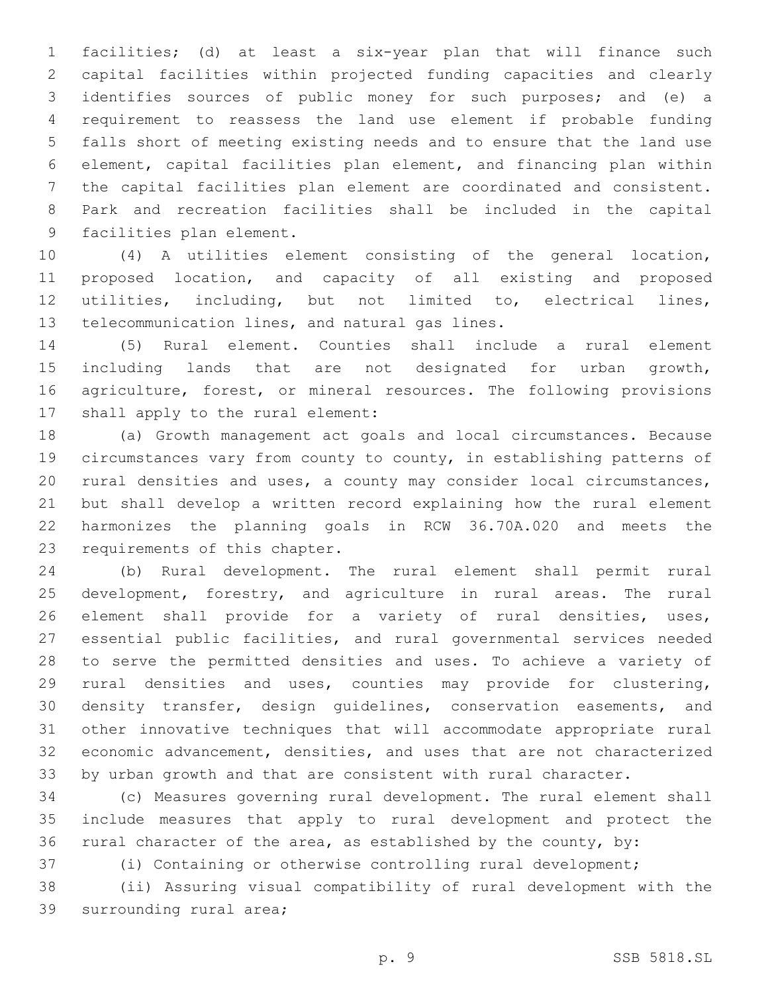facilities; (d) at least a six-year plan that will finance such capital facilities within projected funding capacities and clearly identifies sources of public money for such purposes; and (e) a requirement to reassess the land use element if probable funding falls short of meeting existing needs and to ensure that the land use element, capital facilities plan element, and financing plan within the capital facilities plan element are coordinated and consistent. Park and recreation facilities shall be included in the capital 9 facilities plan element.

 (4) A utilities element consisting of the general location, proposed location, and capacity of all existing and proposed utilities, including, but not limited to, electrical lines, 13 telecommunication lines, and natural gas lines.

 (5) Rural element. Counties shall include a rural element including lands that are not designated for urban growth, agriculture, forest, or mineral resources. The following provisions 17 shall apply to the rural element:

 (a) Growth management act goals and local circumstances. Because circumstances vary from county to county, in establishing patterns of rural densities and uses, a county may consider local circumstances, but shall develop a written record explaining how the rural element harmonizes the planning goals in RCW 36.70A.020 and meets the 23 requirements of this chapter.

 (b) Rural development. The rural element shall permit rural development, forestry, and agriculture in rural areas. The rural element shall provide for a variety of rural densities, uses, essential public facilities, and rural governmental services needed to serve the permitted densities and uses. To achieve a variety of rural densities and uses, counties may provide for clustering, density transfer, design guidelines, conservation easements, and other innovative techniques that will accommodate appropriate rural economic advancement, densities, and uses that are not characterized by urban growth and that are consistent with rural character.

 (c) Measures governing rural development. The rural element shall include measures that apply to rural development and protect the rural character of the area, as established by the county, by:

(i) Containing or otherwise controlling rural development;

 (ii) Assuring visual compatibility of rural development with the 39 surrounding rural area;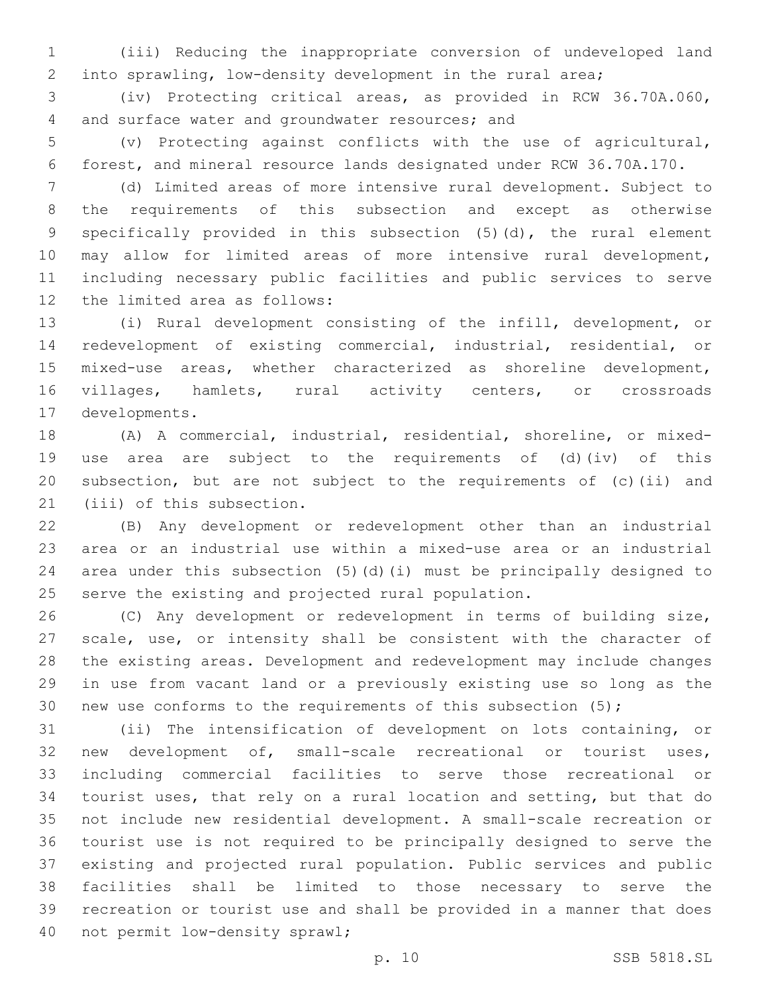(iii) Reducing the inappropriate conversion of undeveloped land into sprawling, low-density development in the rural area;

 (iv) Protecting critical areas, as provided in RCW 36.70A.060, 4 and surface water and groundwater resources; and

 (v) Protecting against conflicts with the use of agricultural, forest, and mineral resource lands designated under RCW 36.70A.170.

 (d) Limited areas of more intensive rural development. Subject to the requirements of this subsection and except as otherwise specifically provided in this subsection (5)(d), the rural element may allow for limited areas of more intensive rural development, including necessary public facilities and public services to serve 12 the limited area as follows:

 (i) Rural development consisting of the infill, development, or redevelopment of existing commercial, industrial, residential, or mixed-use areas, whether characterized as shoreline development, villages, hamlets, rural activity centers, or crossroads developments.17

 (A) A commercial, industrial, residential, shoreline, or mixed- use area are subject to the requirements of (d)(iv) of this subsection, but are not subject to the requirements of (c)(ii) and 21 (iii) of this subsection.

 (B) Any development or redevelopment other than an industrial area or an industrial use within a mixed-use area or an industrial area under this subsection (5)(d)(i) must be principally designed to serve the existing and projected rural population.

 (C) Any development or redevelopment in terms of building size, scale, use, or intensity shall be consistent with the character of the existing areas. Development and redevelopment may include changes in use from vacant land or a previously existing use so long as the new use conforms to the requirements of this subsection (5);

 (ii) The intensification of development on lots containing, or new development of, small-scale recreational or tourist uses, including commercial facilities to serve those recreational or tourist uses, that rely on a rural location and setting, but that do not include new residential development. A small-scale recreation or tourist use is not required to be principally designed to serve the existing and projected rural population. Public services and public facilities shall be limited to those necessary to serve the recreation or tourist use and shall be provided in a manner that does 40 not permit low-density sprawl;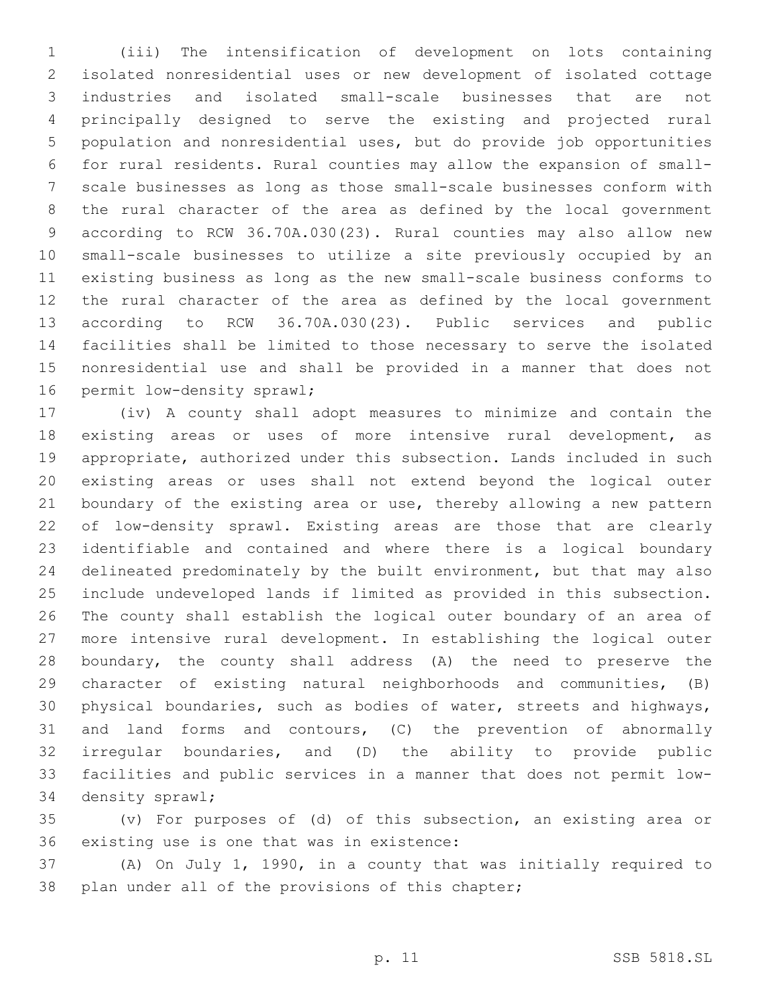(iii) The intensification of development on lots containing isolated nonresidential uses or new development of isolated cottage industries and isolated small-scale businesses that are not principally designed to serve the existing and projected rural population and nonresidential uses, but do provide job opportunities for rural residents. Rural counties may allow the expansion of small- scale businesses as long as those small-scale businesses conform with the rural character of the area as defined by the local government according to RCW 36.70A.030(23). Rural counties may also allow new small-scale businesses to utilize a site previously occupied by an existing business as long as the new small-scale business conforms to the rural character of the area as defined by the local government according to RCW 36.70A.030(23). Public services and public facilities shall be limited to those necessary to serve the isolated nonresidential use and shall be provided in a manner that does not 16 permit low-density sprawl;

 (iv) A county shall adopt measures to minimize and contain the existing areas or uses of more intensive rural development, as appropriate, authorized under this subsection. Lands included in such existing areas or uses shall not extend beyond the logical outer boundary of the existing area or use, thereby allowing a new pattern of low-density sprawl. Existing areas are those that are clearly identifiable and contained and where there is a logical boundary delineated predominately by the built environment, but that may also include undeveloped lands if limited as provided in this subsection. The county shall establish the logical outer boundary of an area of more intensive rural development. In establishing the logical outer boundary, the county shall address (A) the need to preserve the character of existing natural neighborhoods and communities, (B) physical boundaries, such as bodies of water, streets and highways, and land forms and contours, (C) the prevention of abnormally irregular boundaries, and (D) the ability to provide public facilities and public services in a manner that does not permit low-34 density sprawl;

 (v) For purposes of (d) of this subsection, an existing area or 36 existing use is one that was in existence:

 (A) On July 1, 1990, in a county that was initially required to 38 plan under all of the provisions of this chapter;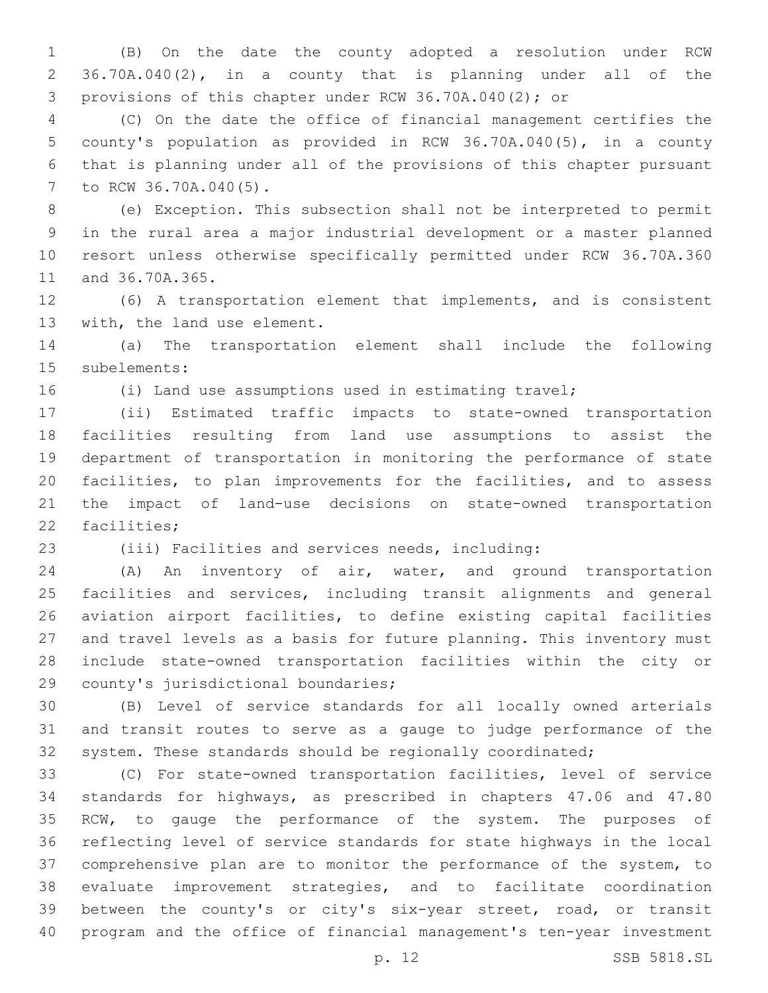(B) On the date the county adopted a resolution under RCW 36.70A.040(2), in a county that is planning under all of the provisions of this chapter under RCW 36.70A.040(2); or

 (C) On the date the office of financial management certifies the county's population as provided in RCW 36.70A.040(5), in a county that is planning under all of the provisions of this chapter pursuant 7 to RCW 36.70A.040(5).

 (e) Exception. This subsection shall not be interpreted to permit in the rural area a major industrial development or a master planned resort unless otherwise specifically permitted under RCW 36.70A.360 11 and 36.70A.365.

 (6) A transportation element that implements, and is consistent 13 with, the land use element.

 (a) The transportation element shall include the following 15 subelements:

16 (i) Land use assumptions used in estimating travel;

 (ii) Estimated traffic impacts to state-owned transportation facilities resulting from land use assumptions to assist the department of transportation in monitoring the performance of state facilities, to plan improvements for the facilities, and to assess the impact of land-use decisions on state-owned transportation 22 facilities;

(iii) Facilities and services needs, including:

 (A) An inventory of air, water, and ground transportation facilities and services, including transit alignments and general aviation airport facilities, to define existing capital facilities and travel levels as a basis for future planning. This inventory must include state-owned transportation facilities within the city or 29 county's jurisdictional boundaries;

 (B) Level of service standards for all locally owned arterials and transit routes to serve as a gauge to judge performance of the system. These standards should be regionally coordinated;

 (C) For state-owned transportation facilities, level of service standards for highways, as prescribed in chapters 47.06 and 47.80 35 RCW, to gauge the performance of the system. The purposes of reflecting level of service standards for state highways in the local comprehensive plan are to monitor the performance of the system, to evaluate improvement strategies, and to facilitate coordination between the county's or city's six-year street, road, or transit program and the office of financial management's ten-year investment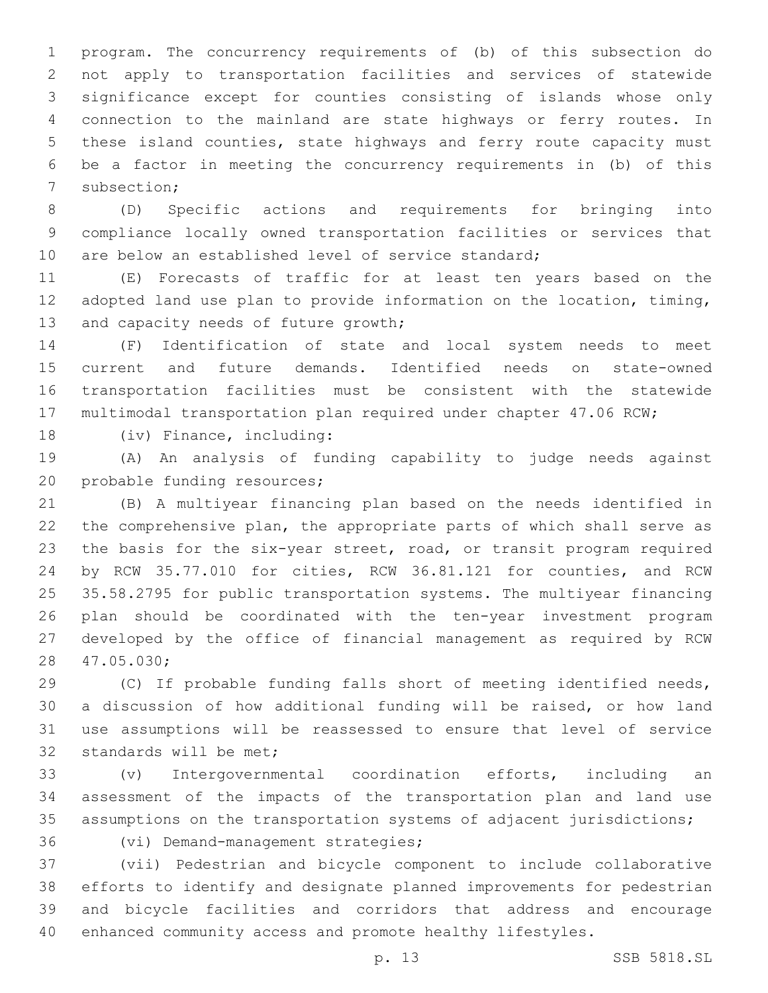program. The concurrency requirements of (b) of this subsection do not apply to transportation facilities and services of statewide significance except for counties consisting of islands whose only connection to the mainland are state highways or ferry routes. In these island counties, state highways and ferry route capacity must be a factor in meeting the concurrency requirements in (b) of this 7 subsection;

 (D) Specific actions and requirements for bringing into compliance locally owned transportation facilities or services that 10 are below an established level of service standard;

 (E) Forecasts of traffic for at least ten years based on the adopted land use plan to provide information on the location, timing, 13 and capacity needs of future growth;

 (F) Identification of state and local system needs to meet current and future demands. Identified needs on state-owned transportation facilities must be consistent with the statewide multimodal transportation plan required under chapter 47.06 RCW;

18 (iv) Finance, including:

 (A) An analysis of funding capability to judge needs against 20 probable funding resources;

 (B) A multiyear financing plan based on the needs identified in the comprehensive plan, the appropriate parts of which shall serve as the basis for the six-year street, road, or transit program required by RCW 35.77.010 for cities, RCW 36.81.121 for counties, and RCW 35.58.2795 for public transportation systems. The multiyear financing plan should be coordinated with the ten-year investment program developed by the office of financial management as required by RCW 47.05.030;28

 (C) If probable funding falls short of meeting identified needs, a discussion of how additional funding will be raised, or how land use assumptions will be reassessed to ensure that level of service 32 standards will be met;

 (v) Intergovernmental coordination efforts, including an assessment of the impacts of the transportation plan and land use assumptions on the transportation systems of adjacent jurisdictions;

36 (vi) Demand-management strategies;

 (vii) Pedestrian and bicycle component to include collaborative efforts to identify and designate planned improvements for pedestrian and bicycle facilities and corridors that address and encourage enhanced community access and promote healthy lifestyles.

p. 13 SSB 5818.SL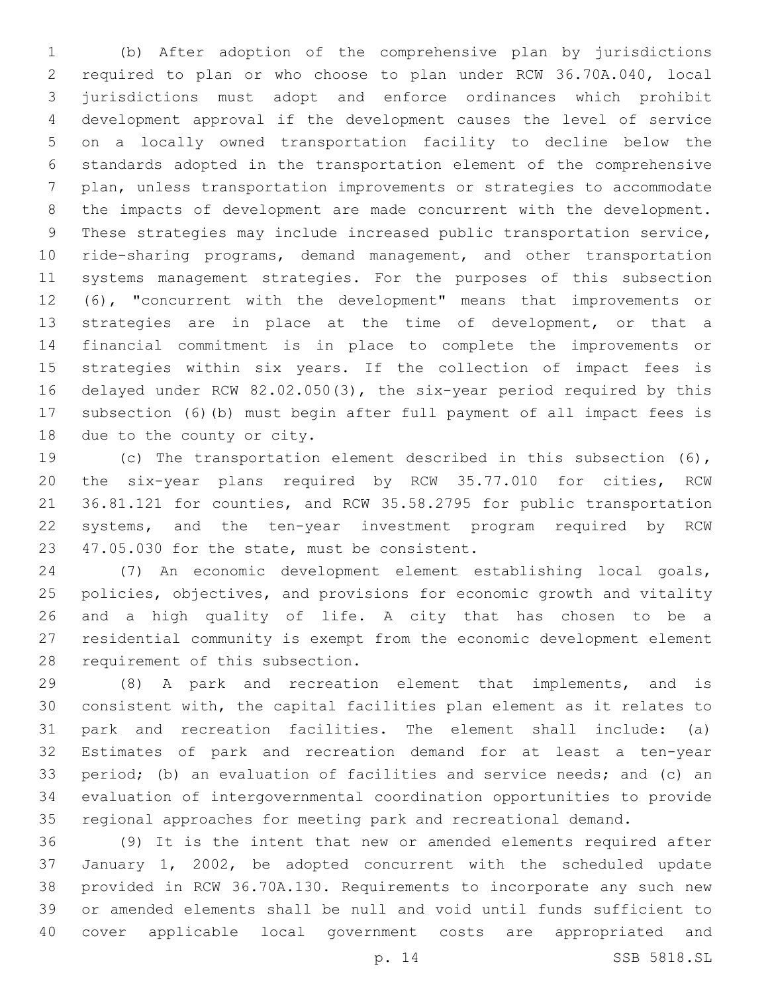(b) After adoption of the comprehensive plan by jurisdictions required to plan or who choose to plan under RCW 36.70A.040, local jurisdictions must adopt and enforce ordinances which prohibit development approval if the development causes the level of service on a locally owned transportation facility to decline below the standards adopted in the transportation element of the comprehensive plan, unless transportation improvements or strategies to accommodate the impacts of development are made concurrent with the development. These strategies may include increased public transportation service, ride-sharing programs, demand management, and other transportation systems management strategies. For the purposes of this subsection (6), "concurrent with the development" means that improvements or strategies are in place at the time of development, or that a financial commitment is in place to complete the improvements or strategies within six years. If the collection of impact fees is delayed under RCW 82.02.050(3), the six-year period required by this subsection (6)(b) must begin after full payment of all impact fees is 18 due to the county or city.

 (c) The transportation element described in this subsection (6), the six-year plans required by RCW 35.77.010 for cities, RCW 36.81.121 for counties, and RCW 35.58.2795 for public transportation systems, and the ten-year investment program required by RCW 23 47.05.030 for the state, must be consistent.

 (7) An economic development element establishing local goals, policies, objectives, and provisions for economic growth and vitality and a high quality of life. A city that has chosen to be a residential community is exempt from the economic development element 28 requirement of this subsection.

 (8) A park and recreation element that implements, and is consistent with, the capital facilities plan element as it relates to park and recreation facilities. The element shall include: (a) Estimates of park and recreation demand for at least a ten-year period; (b) an evaluation of facilities and service needs; and (c) an evaluation of intergovernmental coordination opportunities to provide regional approaches for meeting park and recreational demand.

 (9) It is the intent that new or amended elements required after January 1, 2002, be adopted concurrent with the scheduled update provided in RCW 36.70A.130. Requirements to incorporate any such new or amended elements shall be null and void until funds sufficient to cover applicable local government costs are appropriated and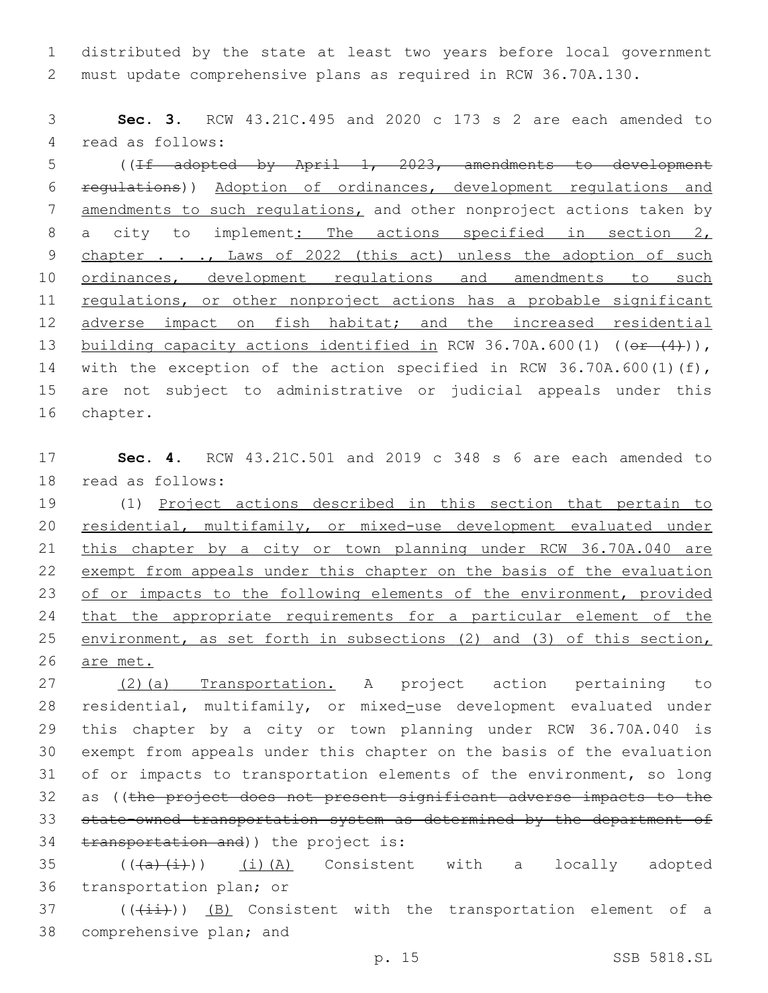1 distributed by the state at least two years before local government 2 must update comprehensive plans as required in RCW 36.70A.130.

3 **Sec. 3.** RCW 43.21C.495 and 2020 c 173 s 2 are each amended to 4 read as follows:

5 ((If adopted by April 1, 2023, amendments to development 6 regulations)) Adoption of ordinances, development regulations and 7 amendments to such regulations, and other nonproject actions taken by 8 a city to implement: The actions specified in section 2, 9 chapter . . ., Laws of 2022 (this act) unless the adoption of such 10 ordinances, development regulations and amendments to such 11 regulations, or other nonproject actions has a probable significant 12 adverse impact on fish habitat; and the increased residential 13 building capacity actions identified in RCW 36.70A.600(1) ((er (4))), 14 with the exception of the action specified in RCW 36.70A.600(1)(f), 15 are not subject to administrative or judicial appeals under this 16 chapter.

17 **Sec. 4.** RCW 43.21C.501 and 2019 c 348 s 6 are each amended to 18 read as follows:

 (1) Project actions described in this section that pertain to residential, multifamily, or mixed-use development evaluated under this chapter by a city or town planning under RCW 36.70A.040 are exempt from appeals under this chapter on the basis of the evaluation 23 of or impacts to the following elements of the environment, provided 24 that the appropriate requirements for a particular element of the environment, as set forth in subsections (2) and (3) of this section, 26 are met.

 (2)(a) Transportation. A project action pertaining to residential, multifamily, or mixed-use development evaluated under this chapter by a city or town planning under RCW 36.70A.040 is exempt from appeals under this chapter on the basis of the evaluation 31 of or impacts to transportation elements of the environment, so long as ((the project does not present significant adverse impacts to the state-owned transportation system as determined by the department of 34 transportation and)) the project is:

35  $((a)(i))$   $(i)(A)$  Consistent with a locally adopted 36 transportation plan; or

37 (((+ii)) (B) Consistent with the transportation element of a 38 comprehensive plan; and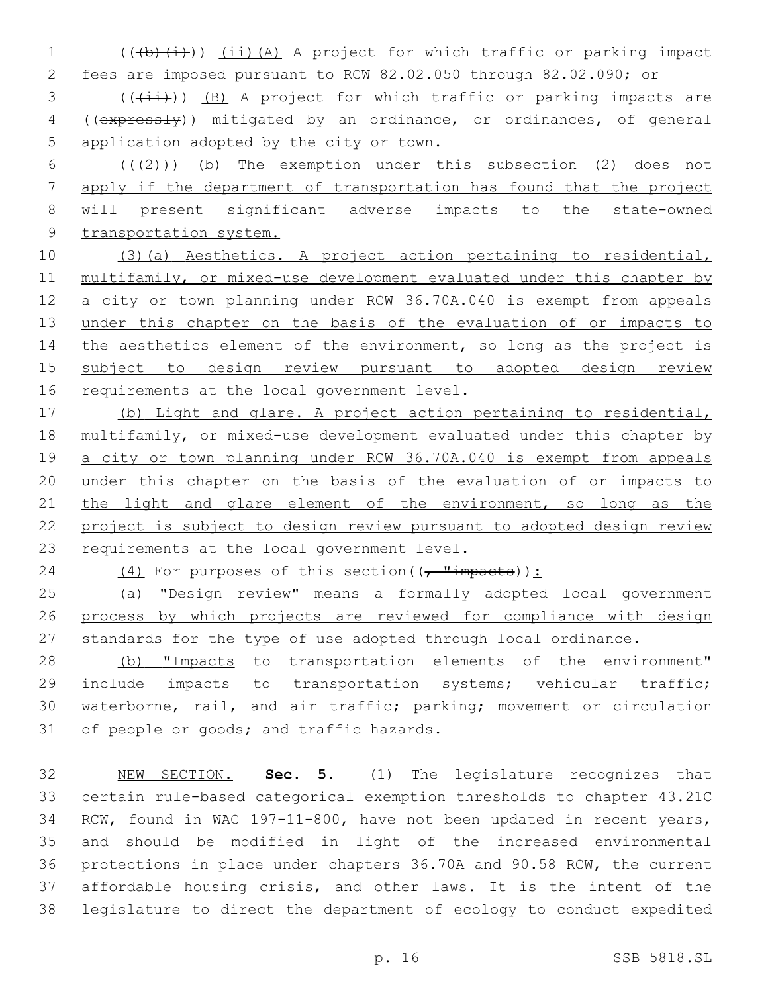1  $((+b)+(i+))$   $(i)$   $(A)$  A project for which traffic or parking impact fees are imposed pursuant to RCW 82.02.050 through 82.02.090; or

 (( $(i+i)$ )) (B) A project for which traffic or parking impacts are ((expressly)) mitigated by an ordinance, or ordinances, of general 5 application adopted by the city or town.

 $((+2))$  (b) The exemption under this subsection (2) does not apply if the department of transportation has found that the project will present significant adverse impacts to the state-owned transportation system.

 (3)(a) Aesthetics. A project action pertaining to residential, multifamily, or mixed-use development evaluated under this chapter by 12 a city or town planning under RCW 36.70A.040 is exempt from appeals 13 under this chapter on the basis of the evaluation of or impacts to 14 the aesthetics element of the environment, so long as the project is subject to design review pursuant to adopted design review 16 requirements at the local government level.

 (b) Light and glare. A project action pertaining to residential, multifamily, or mixed-use development evaluated under this chapter by 19 a city or town planning under RCW 36.70A.040 is exempt from appeals under this chapter on the basis of the evaluation of or impacts to 21 the light and glare element of the environment, so long as the project is subject to design review pursuant to adopted design review 23 requirements at the local government level.

24  $(4)$  For purposes of this section( $(\frac{1}{r} - \frac{1}{r} + \frac{1}{r})$ :

 (a) "Design review" means a formally adopted local government process by which projects are reviewed for compliance with design standards for the type of use adopted through local ordinance.

28 (b) "Impacts to transportation elements of the environment" include impacts to transportation systems; vehicular traffic; waterborne, rail, and air traffic; parking; movement or circulation 31 of people or goods; and traffic hazards.

 NEW SECTION. **Sec. 5.** (1) The legislature recognizes that certain rule-based categorical exemption thresholds to chapter 43.21C RCW, found in WAC 197-11-800, have not been updated in recent years, and should be modified in light of the increased environmental protections in place under chapters 36.70A and 90.58 RCW, the current affordable housing crisis, and other laws. It is the intent of the legislature to direct the department of ecology to conduct expedited